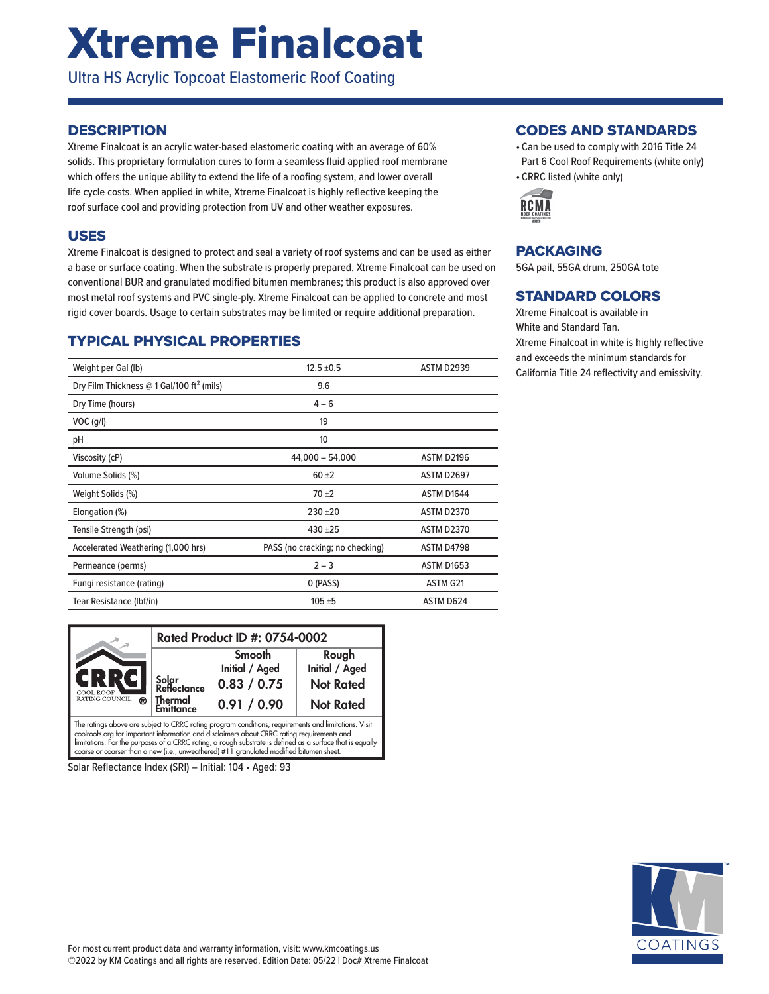# Xtreme Finalcoat

Ultra HS Acrylic Topcoat Elastomeric Roof Coating

### **DESCRIPTION**

Xtreme Finalcoat is an acrylic water-based elastomeric coating with an average of 60% solids. This proprietary formulation cures to form a seamless fluid applied roof membrane which offers the unique ability to extend the life of a roofing system, and lower overall life cycle costs. When applied in white, Xtreme Finalcoat is highly reflective keeping the roof surface cool and providing protection from UV and other weather exposures.

### USES

Xtreme Finalcoat is designed to protect and seal a variety of roof systems and can be used as either a base or surface coating. When the substrate is properly prepared, Xtreme Finalcoat can be used on conventional BUR and granulated modified bitumen membranes; this product is also approved over most metal roof systems and PVC single-ply. Xtreme Finalcoat can be applied to concrete and most rigid cover boards. Usage to certain substrates may be limited or require additional preparation.

## TYPICAL PHYSICAL PROPERTIES

| Weight per Gal (lb)                                   | $12.5 \pm 0.5$                  | <b>ASTM D2939</b> |
|-------------------------------------------------------|---------------------------------|-------------------|
| Dry Film Thickness @ 1 Gal/100 ft <sup>2</sup> (mils) | 9.6                             |                   |
| Dry Time (hours)                                      | $4 - 6$                         |                   |
| $VOC$ (g/l)                                           | 19                              |                   |
| рH                                                    | 10                              |                   |
| Viscosity (cP)                                        | $44,000 - 54,000$               | ASTM D2196        |
| Volume Solids (%)                                     | $60 + 2$                        | <b>ASTM D2697</b> |
| Weight Solids (%)                                     | $70 + 2$                        | ASTM D1644        |
| Elongation (%)                                        | $230 + 20$                      | <b>ASTM D2370</b> |
| Tensile Strength (psi)                                | 430 ±25                         | <b>ASTM D2370</b> |
| Accelerated Weathering (1,000 hrs)                    | PASS (no cracking; no checking) | ASTM D4798        |
| Permeance (perms)                                     | $2 - 3$                         | <b>ASTM D1653</b> |
| Fungi resistance (rating)                             | 0 (PASS)                        | ASTM G21          |
| Tear Resistance (Ibf/in)                              | $105 + 5$                       | ASTM D624         |

|                                                                                                                                                                                                    | Rated Product ID #: 0754-0002 |                |                  |  |
|----------------------------------------------------------------------------------------------------------------------------------------------------------------------------------------------------|-------------------------------|----------------|------------------|--|
|                                                                                                                                                                                                    |                               | Smooth         | Rough            |  |
|                                                                                                                                                                                                    |                               | Initial / Aged | Initial / Aged   |  |
| GRRG<br>COOL ROOF                                                                                                                                                                                  | Solar<br>Reflectance          | 0.83 / 0.75    | <b>Not Rated</b> |  |
| RATING COUNCIL<br>®                                                                                                                                                                                | Thermal<br><b>Emittance</b>   | 0.91 / 0.90    | <b>Not Rated</b> |  |
| The ratings above are subject to CRRC rating program conditions, requirements and limitations. Visit<br>coolizate are for important information and disclaimars about CPPC rating roquirements and |                               |                |                  |  |

coolroofs.org for important information and disclaimers about CRRC rating requirements and<br>limitations. For the purposes of a CRRC rating, a rough substrate is defined as a surface that is equally coarse or coarser than a new (i.e., unweathered) #11 granulated modified bitumen sheet.

Solar Reflectance Index (SRI) – Initial: 104 • Aged: 93

### CODES AND STANDARDS

- Can be used to comply with 2016 Title 24 Part 6 Cool Roof Requirements (white only)
- CRRC listed (white only)



## PACKAGING

5GA pail, 55GA drum, 250GA tote

## STANDARD COLORS

Xtreme Finalcoat is available in White and Standard Tan. Xtreme Finalcoat in white is highly reflective and exceeds the minimum standards for California Title 24 reflectivity and emissivity.